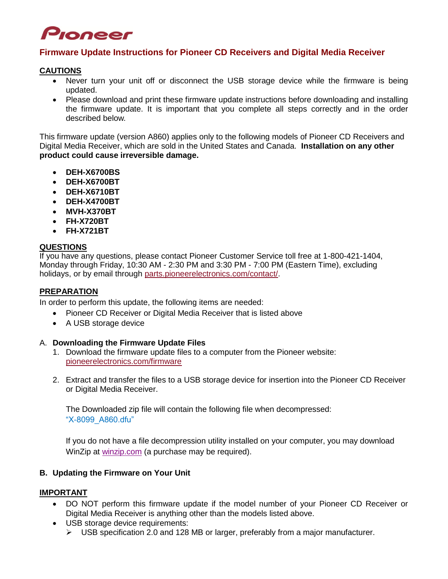# Pioneer

# **Firmware Update Instructions for Pioneer CD Receivers and Digital Media Receiver**

#### **CAUTIONS**

- Never turn your unit off or disconnect the USB storage device while the firmware is being updated.
- Please download and print these firmware update instructions before downloading and installing the firmware update. It is important that you complete all steps correctly and in the order described below.

This firmware update (version A860) applies only to the following models of Pioneer CD Receivers and Digital Media Receiver, which are sold in the United States and Canada. **Installation on any other product could cause irreversible damage.**

- **DEH-X6700BS**
- **DEH-X6700BT**
- **DEH-X6710BT**
- **DEH-X4700BT**
- **MVH-X370BT**
- **FH-X720BT**
- **FH-X721BT**

## **QUESTIONS**

If you have any questions, please contact Pioneer Customer Service toll free at 1-800-421-1404, Monday through Friday, 10:30 AM - 2:30 PM and 3:30 PM - 7:00 PM (Eastern Time), excluding holidays, or by email through [parts.pioneerelectronics.com/contact/.](http://parts.pioneerelectronics.com/contact/)

## **PREPARATION**

In order to perform this update, the following items are needed:

- Pioneer CD Receiver or Digital Media Receiver that is listed above
- A USB storage device

#### A. **Downloading the Firmware Update Files**

- 1. Download the firmware update files to a computer from the Pioneer website: [pioneerelectronics.com/firmware](http://www.pioneerelectronics.com/firmware)
- 2. Extract and transfer the files to a USB storage device for insertion into the Pioneer CD Receiver or Digital Media Receiver.

The Downloaded zip file will contain the following file when decompressed: "X-8099\_A860.dfu"

If you do not have a file decompression utility installed on your computer, you may download WinZip at [winzip.com](http://www.winzip.com/) (a purchase may be required).

## **B. Updating the Firmware on Your Unit**

#### **IMPORTANT**

- DO NOT perform this firmware update if the model number of your Pioneer CD Receiver or Digital Media Receiver is anything other than the models listed above.
- USB storage device requirements:
	- $\triangleright$  USB specification 2.0 and 128 MB or larger, preferably from a major manufacturer.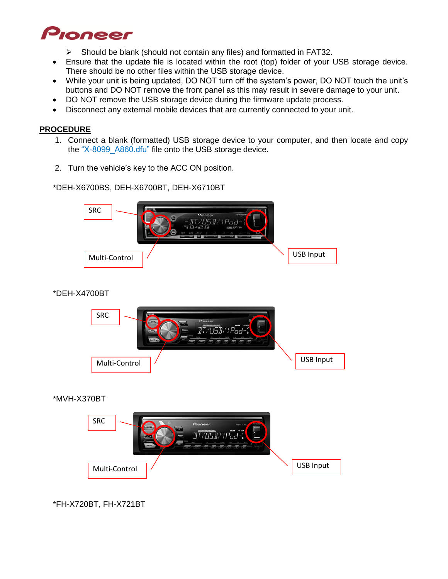

- $\triangleright$  Should be blank (should not contain any files) and formatted in FAT32.
- Ensure that the update file is located within the root (top) folder of your USB storage device. There should be no other files within the USB storage device.
- While your unit is being updated, DO NOT turn off the system's power, DO NOT touch the unit's buttons and DO NOT remove the front panel as this may result in severe damage to your unit.
- DO NOT remove the USB storage device during the firmware update process.
- Disconnect any external mobile devices that are currently connected to your unit.

#### **PROCEDURE**

- 1. Connect a blank (formatted) USB storage device to your computer, and then locate and copy the "X-8099 A860.dfu" file onto the USB storage device.
- 2. Turn the vehicle's key to the ACC ON position.

\*DEH-X6700BS, DEH-X6700BT, DEH-X6710BT



# \*DEH-X4700BT



## \*MVH-X370BT



# \*FH-X720BT, FH-X721BT